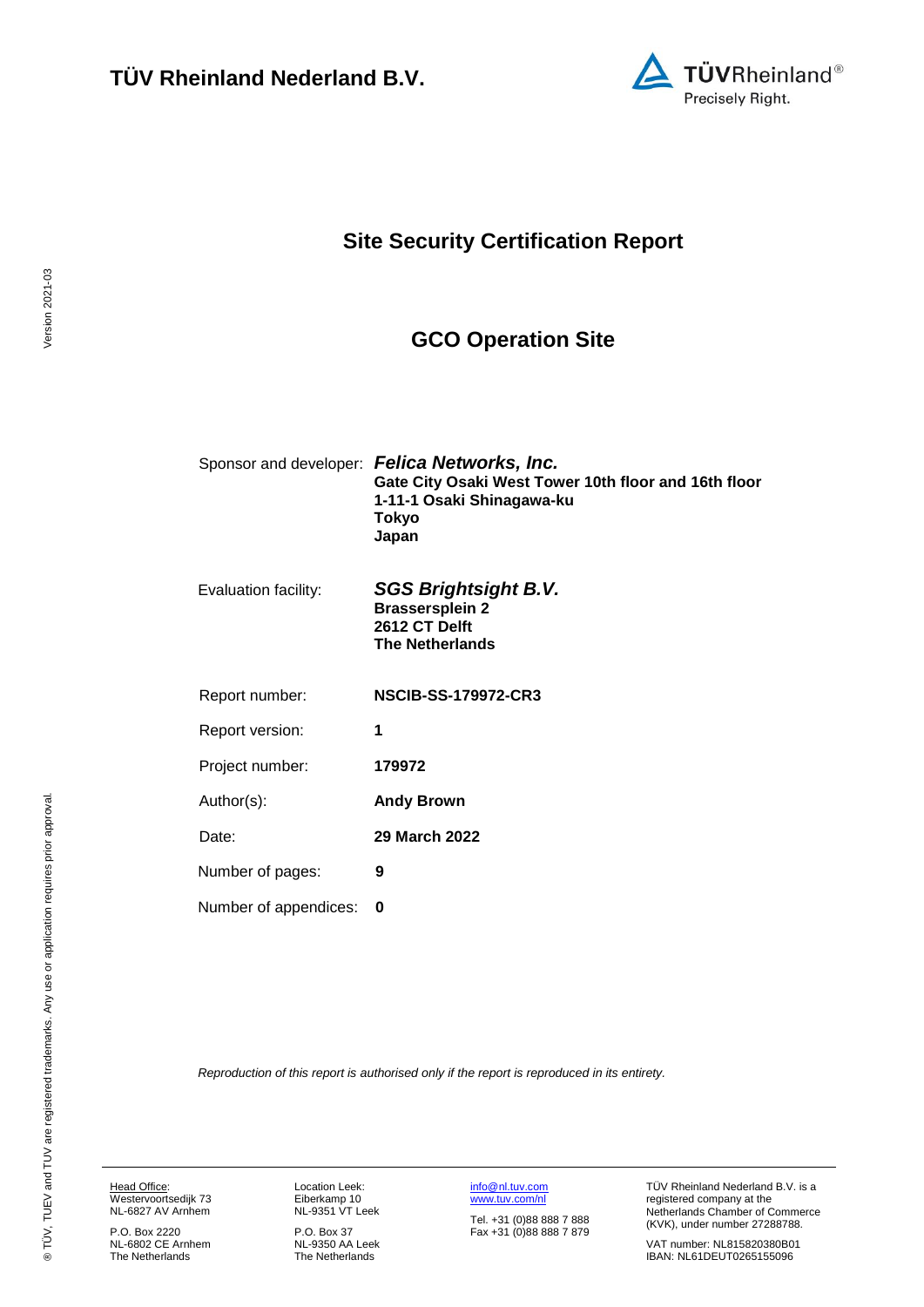

# **Site Security Certification Report**

### <span id="page-0-4"></span><span id="page-0-1"></span>**GCO Operation Site**

<span id="page-0-3"></span><span id="page-0-0"></span>

|                       | Sponsor and developer: Felica Networks, Inc.<br>Gate City Osaki West Tower 10th floor and 16th floor<br>1-11-1 Osaki Shinagawa-ku<br>Tokyo<br>Japan |
|-----------------------|-----------------------------------------------------------------------------------------------------------------------------------------------------|
| Evaluation facility:  | <b>SGS Brightsight B.V.</b><br><b>Brassersplein 2</b><br>2612 CT Delft<br><b>The Netherlands</b>                                                    |
| Report number:        | <b>NSCIB-SS-179972-CR3</b>                                                                                                                          |
| Report version:       | 1                                                                                                                                                   |
| Project number:       | 179972                                                                                                                                              |
| Author(s):            | <b>Andy Brown</b>                                                                                                                                   |
| Date:                 | <b>29 March 2022</b>                                                                                                                                |
| Number of pages:      | 9                                                                                                                                                   |
| Number of appendices: | 0                                                                                                                                                   |
|                       |                                                                                                                                                     |

<span id="page-0-2"></span>*Reproduction of this report is authorised only if the report is reproduced in its entirety.*

Head Office: Westervoortsedijk 73 NL-6827 AV Arnhem

P.O. Box 2220 NL-6802 CE Arnhem The Netherlands Location Leek: Eiberkamp 10 NL-9351 VT Leek

P.O. Box 37 NL-9350 AA Leek The Netherlands [info@nl.tuv.com](mailto:info@nl.tuv.com) [www.tuv.com/nl](http://www.tuv.com/nl)

Tel. +31 (0)88 888 7 888 Fax +31 (0)88 888 7 879 TÜV Rheinland Nederland B.V. is a registered company at the Netherlands Chamber of Commerce (KVK), under number 27288788.

VAT number: NL815820380B01 IBAN: NL61DEUT0265155096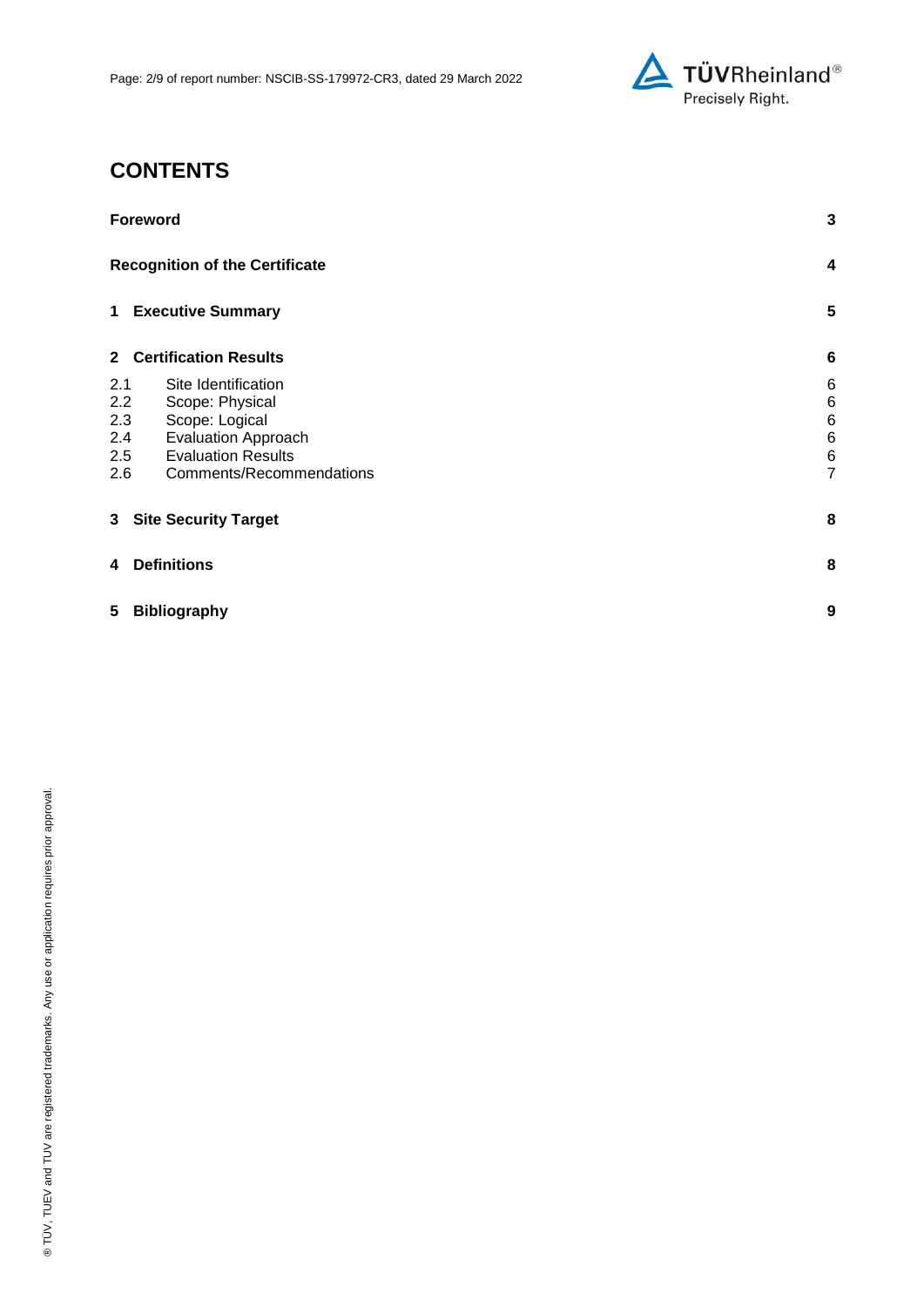

# **CONTENTS**

|     | <b>Foreword</b>                                       |                                   |  |
|-----|-------------------------------------------------------|-----------------------------------|--|
|     | <b>Recognition of the Certificate</b>                 | 4                                 |  |
|     | 1 Executive Summary                                   | 5                                 |  |
|     | 2 Certification Results                               | $6\phantom{1}6$                   |  |
| 2.1 | Site Identification                                   | 6                                 |  |
| 2.2 | Scope: Physical                                       | 6                                 |  |
| 2.3 | Scope: Logical                                        | 6                                 |  |
| 2.4 | <b>Evaluation Approach</b>                            | 6                                 |  |
| 2.5 | <b>Evaluation Results</b><br>Comments/Recommendations | $6\phantom{1}6$<br>$\overline{7}$ |  |
| 2.6 |                                                       |                                   |  |
|     | 3 Site Security Target                                | 8                                 |  |
| 4   | <b>Definitions</b>                                    | 8                                 |  |
| 5   | <b>Bibliography</b>                                   | 9                                 |  |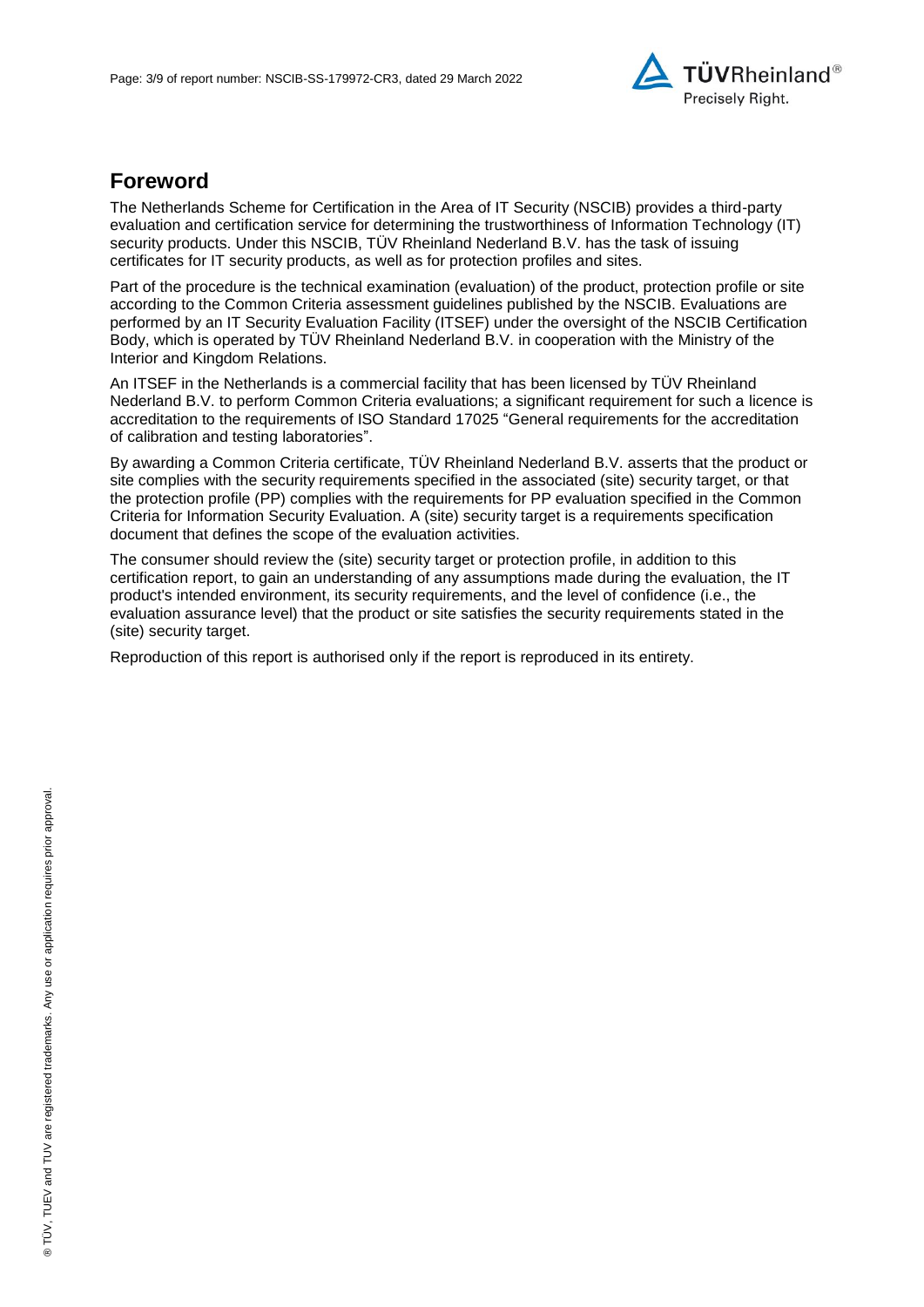

### **Foreword**

The Netherlands Scheme for Certification in the Area of IT Security (NSCIB) provides a third-party evaluation and certification service for determining the trustworthiness of Information Technology (IT) security products. Under this NSCIB, TUV Rheinland Nederland B.V. has the task of issuing certificates for IT security products, as well as for protection profiles and sites.

Part of the procedure is the technical examination (evaluation) of the product, protection profile or site according to the Common Criteria assessment guidelines published by the NSCIB. Evaluations are performed by an IT Security Evaluation Facility (ITSEF) under the oversight of the NSCIB Certification Body, which is operated by TÜV Rheinland Nederland B.V. in cooperation with the Ministry of the Interior and Kingdom Relations.

An ITSEF in the Netherlands is a commercial facility that has been licensed by TÜV Rheinland Nederland B.V. to perform Common Criteria evaluations; a significant requirement for such a licence is accreditation to the requirements of ISO Standard 17025 "General requirements for the accreditation of calibration and testing laboratories".

By awarding a Common Criteria certificate, TÜV Rheinland Nederland B.V. asserts that the product or site complies with the security requirements specified in the associated (site) security target, or that the protection profile (PP) complies with the requirements for PP evaluation specified in the Common Criteria for Information Security Evaluation. A (site) security target is a requirements specification document that defines the scope of the evaluation activities.

The consumer should review the (site) security target or protection profile, in addition to this certification report, to gain an understanding of any assumptions made during the evaluation, the IT product's intended environment, its security requirements, and the level of confidence (i.e., the evaluation assurance level) that the product or site satisfies the security requirements stated in the (site) security target.

Reproduction of this report is authorised only if the report is reproduced in its entirety.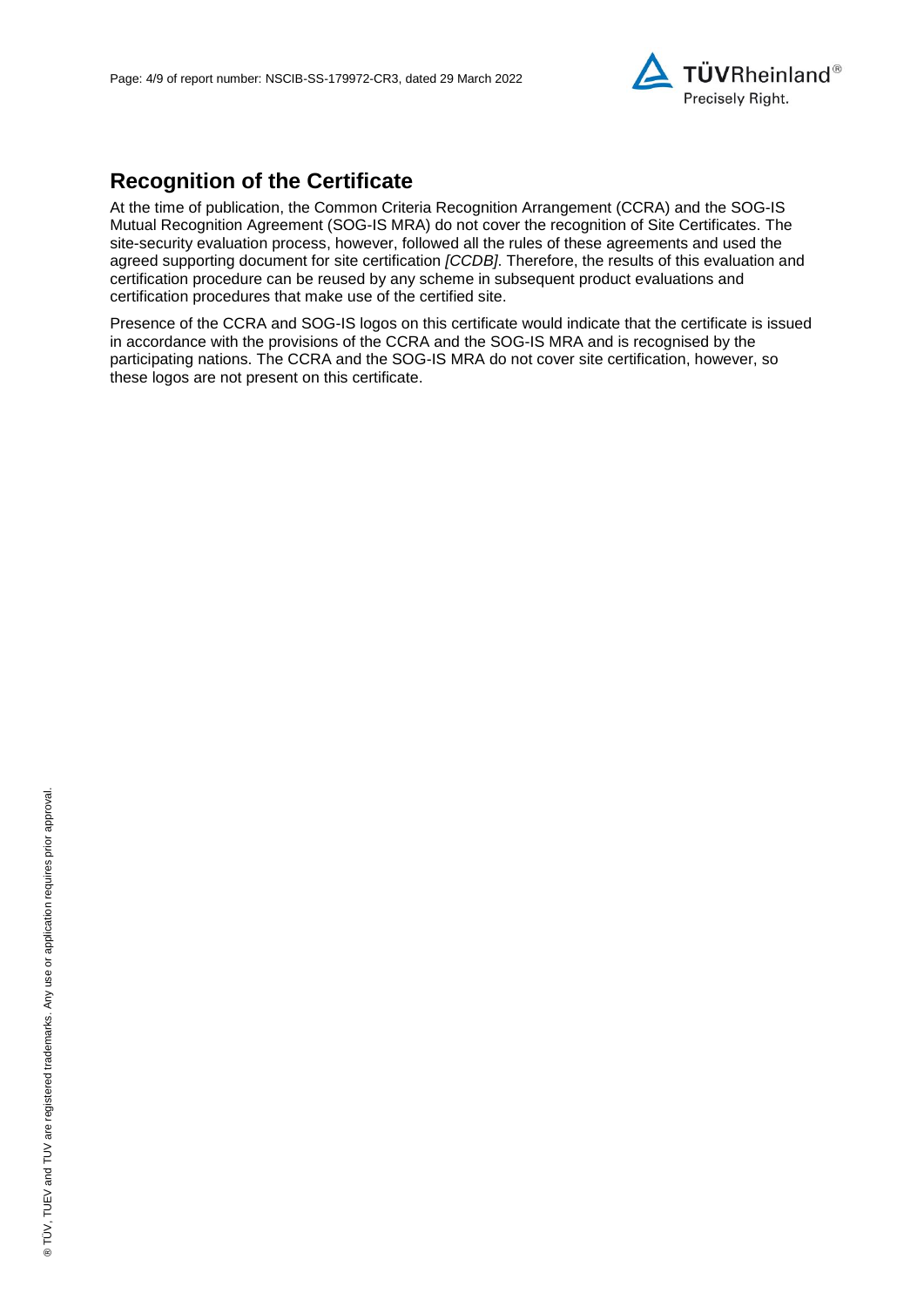

# **Recognition of the Certificate**

At the time of publication, the Common Criteria Recognition Arrangement (CCRA) and the SOG-IS Mutual Recognition Agreement (SOG-IS MRA) do not cover the recognition of Site Certificates. The site-security evaluation process, however, followed all the rules of these agreements and used the agreed supporting document for site certification *[CCDB]*. Therefore, the results of this evaluation and certification procedure can be reused by any scheme in subsequent product evaluations and certification procedures that make use of the certified site.

Presence of the CCRA and SOG-IS logos on this certificate would indicate that the certificate is issued in accordance with the provisions of the CCRA and the SOG-IS MRA and is recognised by the participating nations. The CCRA and the SOG-IS MRA do not cover site certification, however, so these logos are not present on this certificate.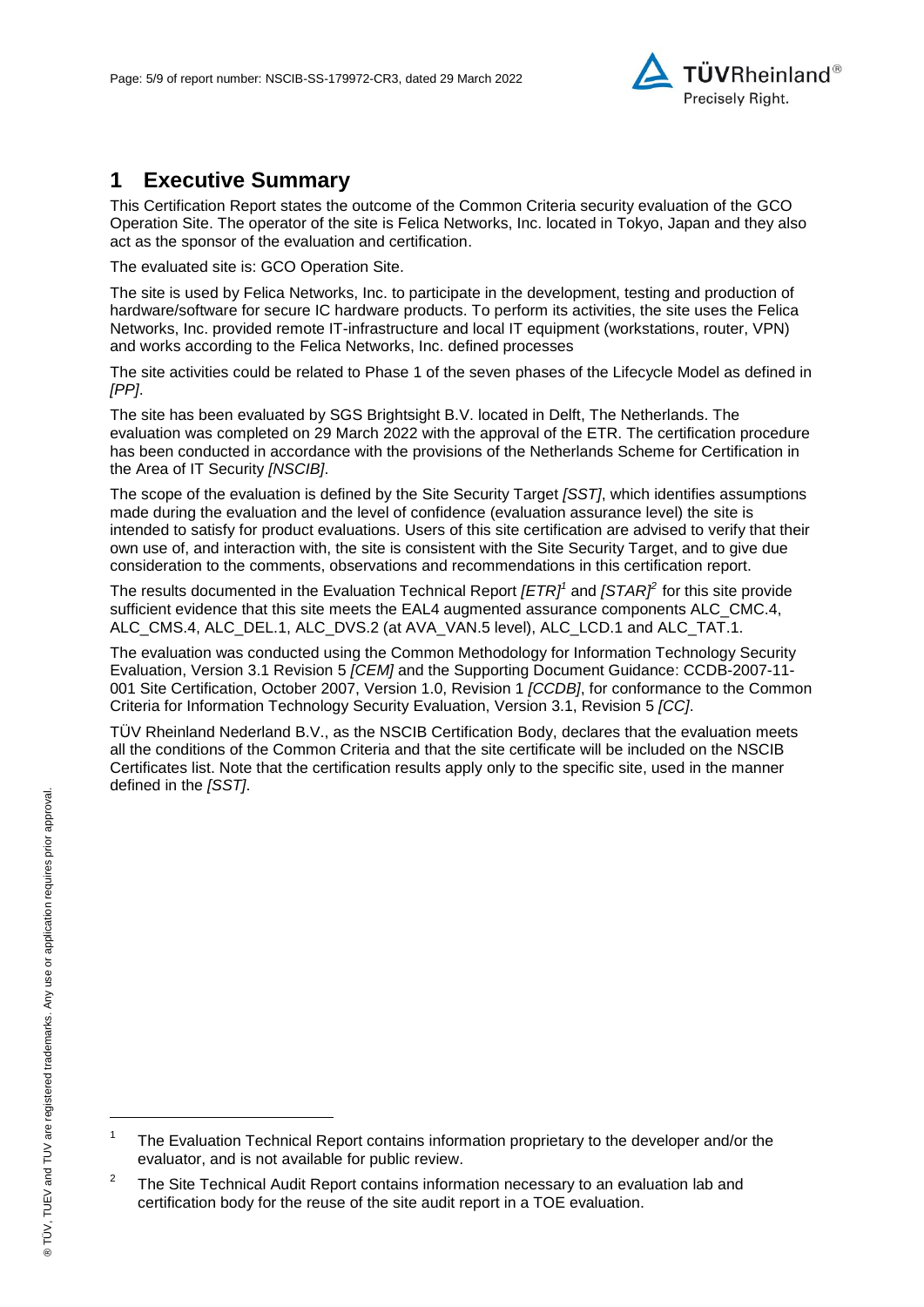

### **1 Executive Summary**

This Certification Report states the outcome of the Common Criteria security evaluation of the [GCO](#page-0-3)  [Operation Site.](#page-0-3) The operator of the site is [Felica Networks, Inc.](#page-0-4) located in Tokyo, Japan and they also act as the sponsor of the evaluation and certification.

The evaluated site is: [GCO Operation Site.](#page-0-3)

The site is used by [Felica Networks, Inc.](#page-0-4) to participate in the development, testing and production of hardware/software for secure IC hardware products. To perform its activities, the site uses the [Felica](#page-0-4)  [Networks, Inc.](#page-0-4) provided remote IT-infrastructure and local IT equipment (workstations, router, VPN) and works according to the [Felica Networks, Inc.](#page-0-4) defined processes

The site activities could be related to Phase 1 of the seven phases of the Lifecycle Model as defined in *[PP]*.

The site has been evaluated by SGS Brightsight B.V. located in Delft, The Netherlands. The evaluation was completed on 29 March 2022 with the approval of the ETR. The certification procedure has been conducted in accordance with the provisions of the Netherlands Scheme for Certification in the Area of IT Security *[NSCIB]*.

The scope of the evaluation is defined by the Site Security Target *[SST]*, which identifies assumptions made during the evaluation and the level of confidence (evaluation assurance level) the site is intended to satisfy for product evaluations. Users of this site certification are advised to verify that their own use of, and interaction with, the site is consistent with the Site Security Target, and to give due consideration to the comments, observations and recommendations in this certification report.

The results documented in the Evaluation Technical Report *[ETR]<sup>1</sup>* and *[STAR]<sup>2</sup>* for this site provide sufficient evidence that this site meets the EAL4 augmented assurance components ALC\_CMC.4, ALC\_CMS.4, ALC\_DEL.1, ALC\_DVS.2 (at AVA\_VAN.5 level), ALC\_LCD.1 and ALC\_TAT.1.

<span id="page-4-0"></span>The evaluation was conducted using the Common Methodology for Information Technology Security Evaluation, Version 3.1 Revision 5 *[CEM]* and the Supporting Document Guidance: CCDB-2007-11- 001 Site Certification, October 2007, Version 1.0, Revision 1 *[CCDB]*, for conformance to the Common Criteria for Information Technology Security Evaluation, Version 3.1, Revision [5](#page-4-0) *[CC]*.

TÜV Rheinland Nederland B.V., as the NSCIB Certification Body, declares that the evaluation meets all the conditions of the Common Criteria and that the site certificate will be included on the NSCIB Certificates list. Note that the certification results apply only to the specific site, used in the manner defined in the *[SST]*.

l

<sup>1</sup> The Evaluation Technical Report contains information proprietary to the developer and/or the evaluator, and is not available for public review.

<sup>2</sup> The Site Technical Audit Report contains information necessary to an evaluation lab and certification body for the reuse of the site audit report in a TOE evaluation.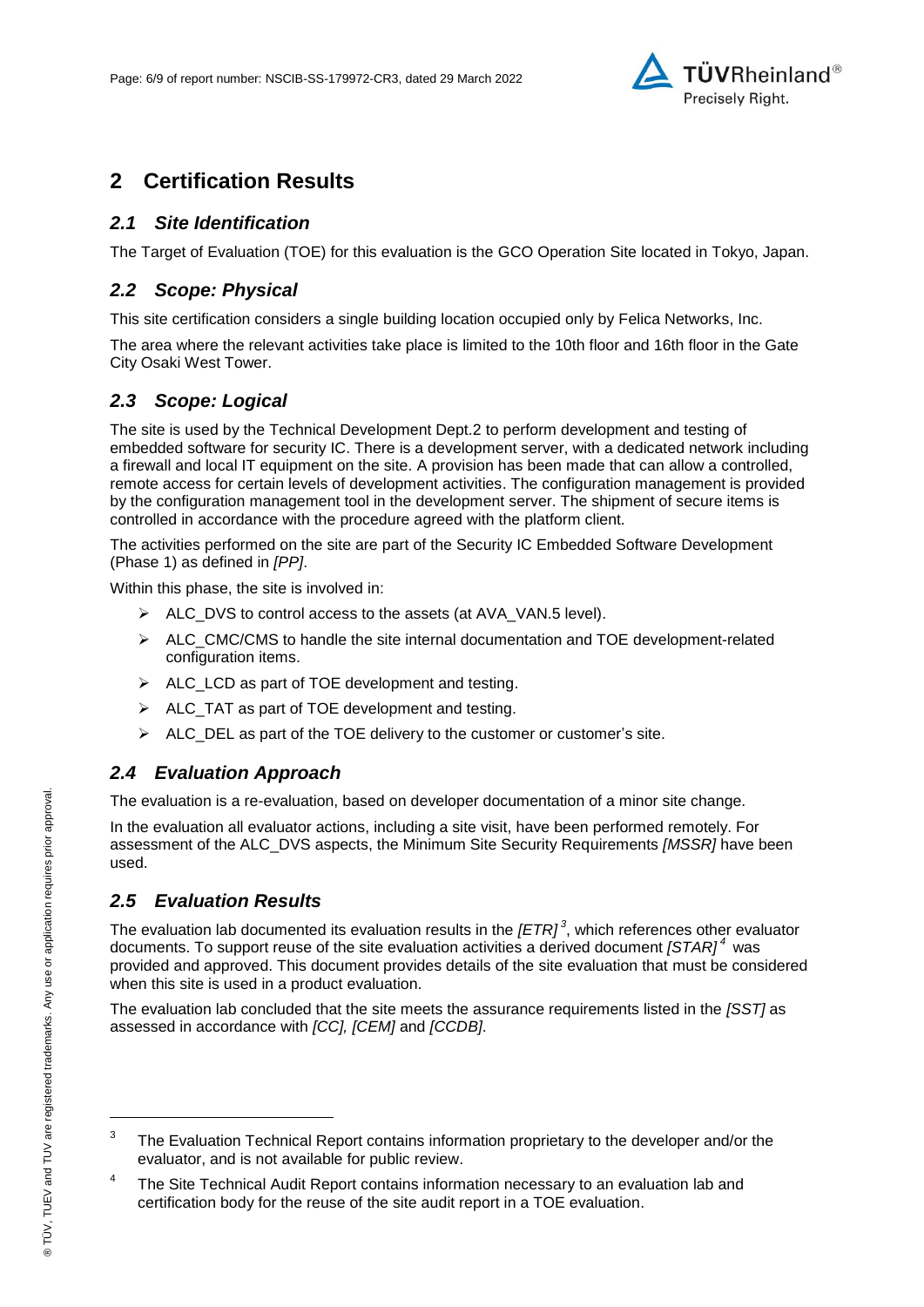

### **2 Certification Results**

#### *2.1 Site Identification*

The Target of Evaluation (TOE) for this evaluation is the [GCO Operation Site](#page-0-3) located in Tokyo, Japan.

#### *2.2 Scope: Physical*

This site certification considers a single building location occupied only by [Felica Networks, Inc.](#page-0-4)

The area where the relevant activities take place is limited to the 10th floor and 16th floor in the Gate City Osaki West Tower.

#### *2.3 Scope: Logical*

The site is used by the Technical Development Dept.2 to perform development and testing of embedded software for security IC. There is a development server, with a dedicated network including a firewall and local IT equipment on the site. A provision has been made that can allow a controlled, remote access for certain levels of development activities. The configuration management is provided by the configuration management tool in the development server. The shipment of secure items is controlled in accordance with the procedure agreed with the platform client.

The activities performed on the site are part of the Security IC Embedded Software Development (Phase 1) as defined in *[PP]*.

Within this phase, the site is involved in:

- $\triangleright$  ALC DVS to control access to the assets (at AVA VAN.5 level).
- $\triangleright$  ALC CMC/CMS to handle the site internal documentation and TOE development-related configuration items.
- $\triangleright$  ALC\_LCD as part of TOE development and testing.
- ALC\_TAT as part of TOE development and testing.
- $\triangleright$  ALC\_DEL as part of the TOE delivery to the customer or customer's site.

#### *2.4 Evaluation Approach*

The evaluation is a re-evaluation, based on developer documentation of a minor site change.

In the evaluation all evaluator actions, including a site visit, have been performed remotely. For assessment of the ALC\_DVS aspects, the Minimum Site Security Requirements *[MSSR]* have been used.

#### *2.5 Evaluation Results*

The evaluation lab documented its evaluation results in the *[ETR] 3* , which references other evaluator documents. To support reuse of the site evaluation activities a derived document *[STAR] <sup>4</sup>* was provided and approved. This document provides details of the site evaluation that must be considered when this site is used in a product evaluation.

The evaluation lab concluded that the site meets the assurance requirements listed in the *[SST]* as assessed in accordance with *[CC], [CEM]* and *[CCDB]*.

4 The Site Technical Audit Report contains information necessary to an evaluation lab and certification body for the reuse of the site audit report in a TOE evaluation.

l

<sup>3</sup> The Evaluation Technical Report contains information proprietary to the developer and/or the evaluator, and is not available for public review.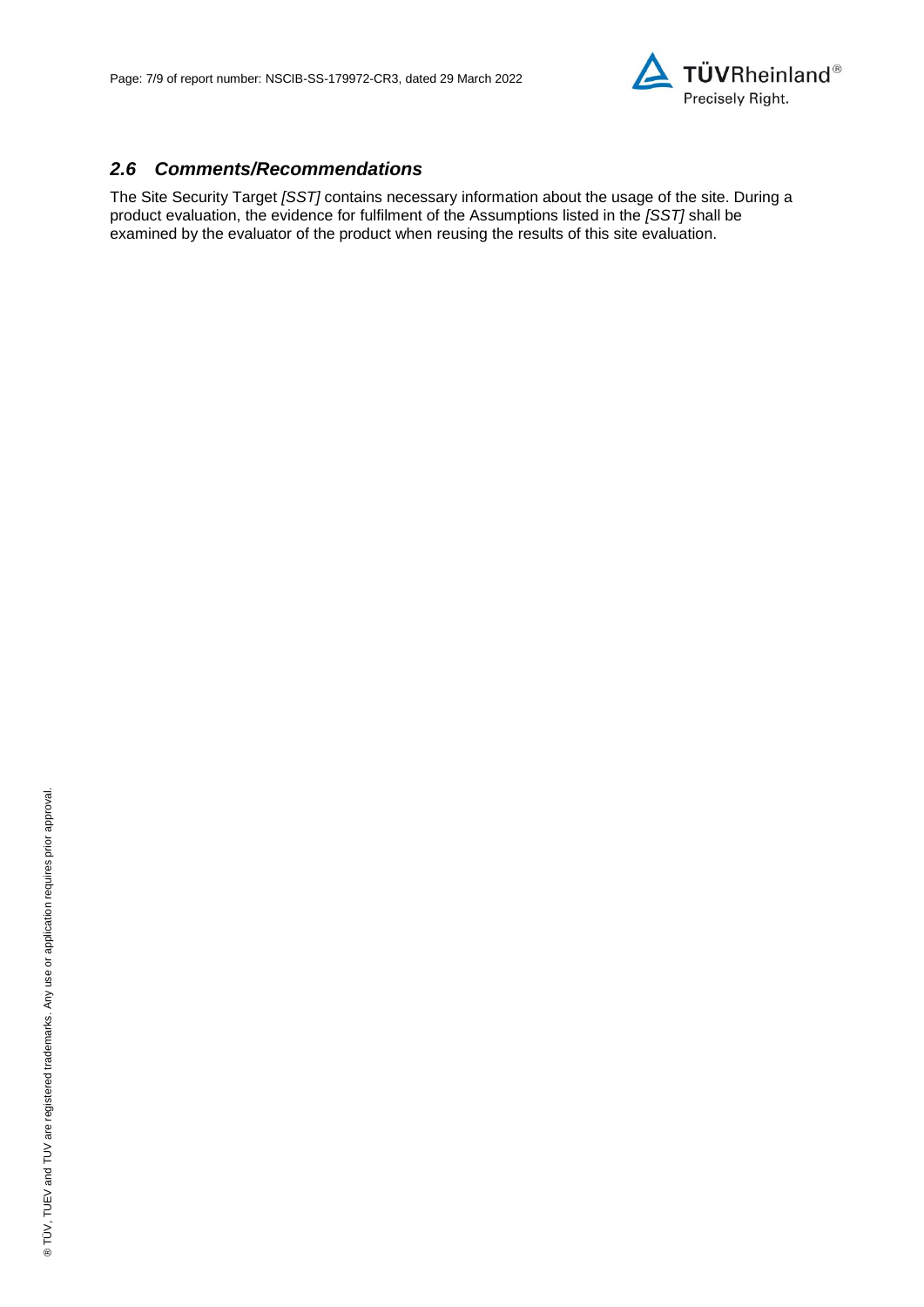

#### *2.6 Comments/Recommendations*

The Site Security Target *[SST]* contains necessary information about the usage of the site. During a product evaluation, the evidence for fulfilment of the Assumptions listed in the *[SST]* shall be examined by the evaluator of the product when reusing the results of this site evaluation.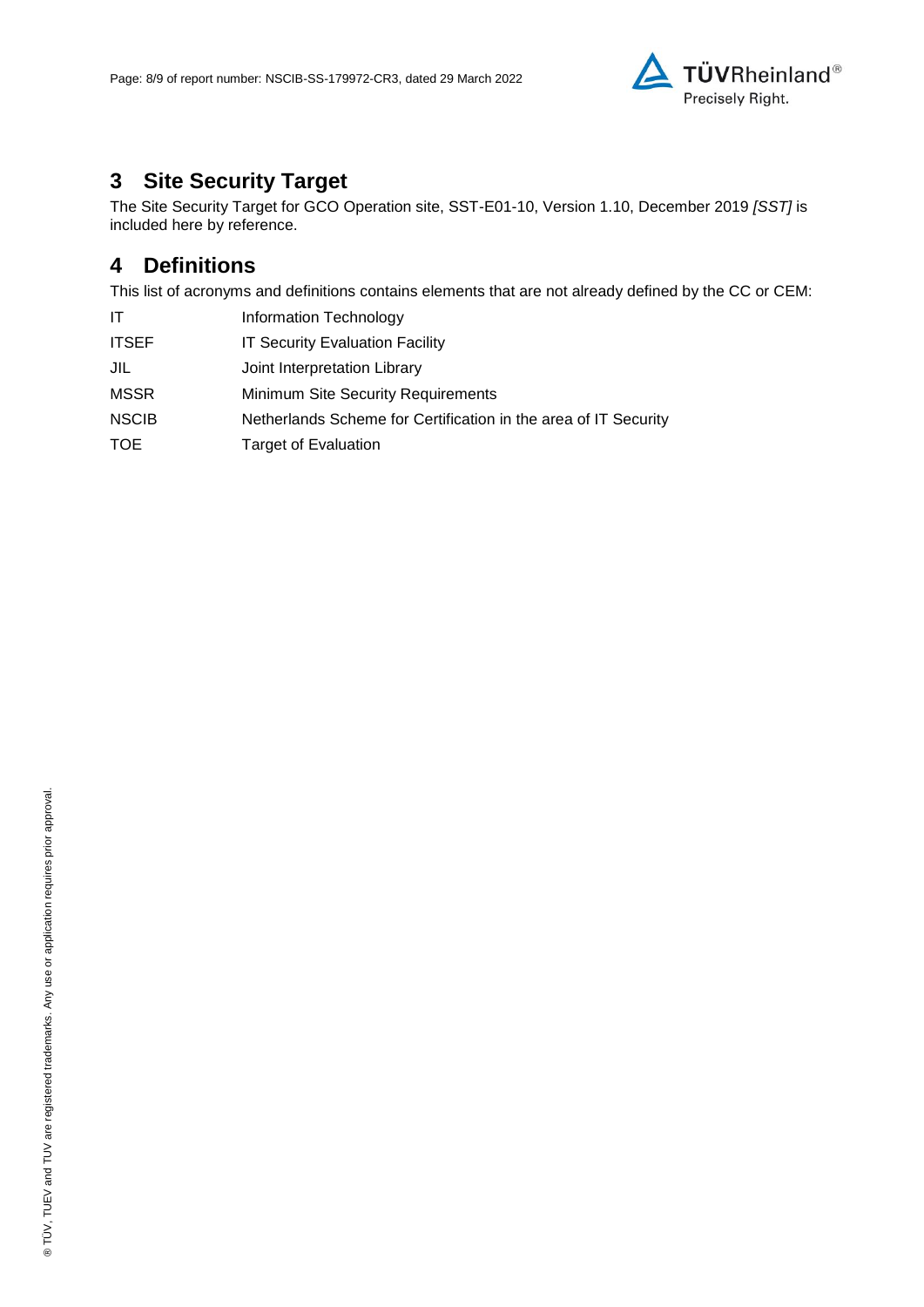

# **3 Site Security Target**

The [Site Security Target for GCO Operation site, SST-E01-10, Version 1.10, December 2019](#page-8-0) *[SST]* is included here by reference.

### **4 Definitions**

This list of acronyms and definitions contains elements that are not already defined by the CC or CEM:

| ΙT           | Information Technology                                          |
|--------------|-----------------------------------------------------------------|
| <b>ITSEF</b> | <b>IT Security Evaluation Facility</b>                          |
| JIL          | Joint Interpretation Library                                    |
| <b>MSSR</b>  | <b>Minimum Site Security Requirements</b>                       |
| <b>NSCIB</b> | Netherlands Scheme for Certification in the area of IT Security |
| <b>TOE</b>   | <b>Target of Evaluation</b>                                     |
|              |                                                                 |